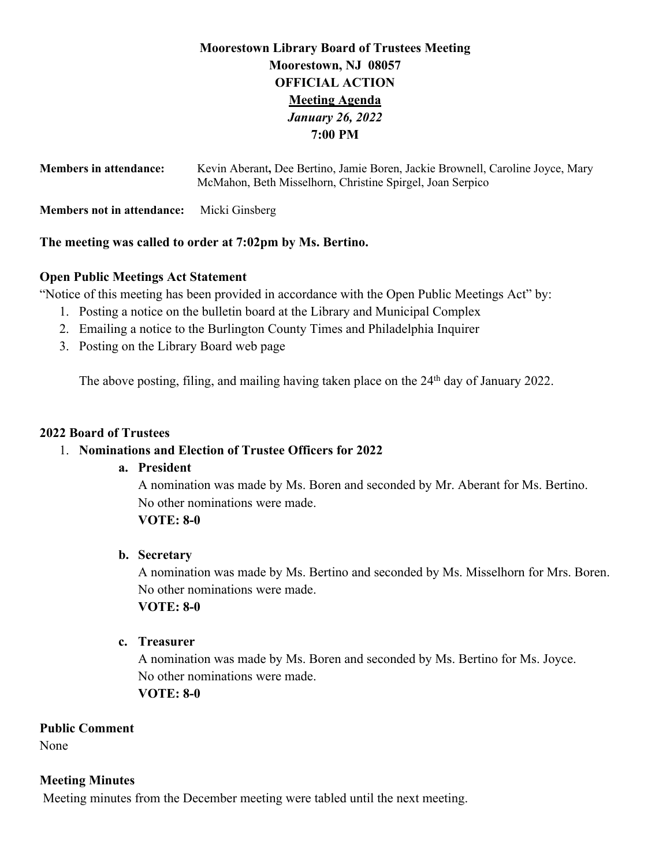## **Moorestown Library Board of Trustees Meeting Moorestown, NJ 08057 OFFICIAL ACTION Meeting Agenda** *January 26, 2022* **7:00 PM**

| <b>Members in attendance:</b>                             | Kevin Aberant, Dee Bertino, Jamie Boren, Jackie Brownell, Caroline Joyce, Mary<br>McMahon, Beth Misselhorn, Christine Spirgel, Joan Serpico |  |  |  |  |  |
|-----------------------------------------------------------|---------------------------------------------------------------------------------------------------------------------------------------------|--|--|--|--|--|
| <b>Members not in attendance:</b>                         | Micki Ginsberg                                                                                                                              |  |  |  |  |  |
| The meeting was called to order at 7:02pm by Ms. Bertino. |                                                                                                                                             |  |  |  |  |  |

# **Open Public Meetings Act Statement**

"Notice of this meeting has been provided in accordance with the Open Public Meetings Act" by:

- 1. Posting a notice on the bulletin board at the Library and Municipal Complex
- 2. Emailing a notice to the Burlington County Times and Philadelphia Inquirer
- 3. Posting on the Library Board web page

The above posting, filing, and mailing having taken place on the 24<sup>th</sup> day of January 2022.

#### **2022 Board of Trustees**

## 1. **Nominations and Election of Trustee Officers for 2022**

## **a. President**

A nomination was made by Ms. Boren and seconded by Mr. Aberant for Ms. Bertino. No other nominations were made.

## **VOTE: 8-0**

## **b. Secretary**

A nomination was made by Ms. Bertino and seconded by Ms. Misselhorn for Mrs. Boren. No other nominations were made. **VOTE: 8-0**

## **c. Treasurer**

A nomination was made by Ms. Boren and seconded by Ms. Bertino for Ms. Joyce. No other nominations were made. **VOTE: 8-0**

## **Public Comment**

None

## **Meeting Minutes**

Meeting minutes from the December meeting were tabled until the next meeting.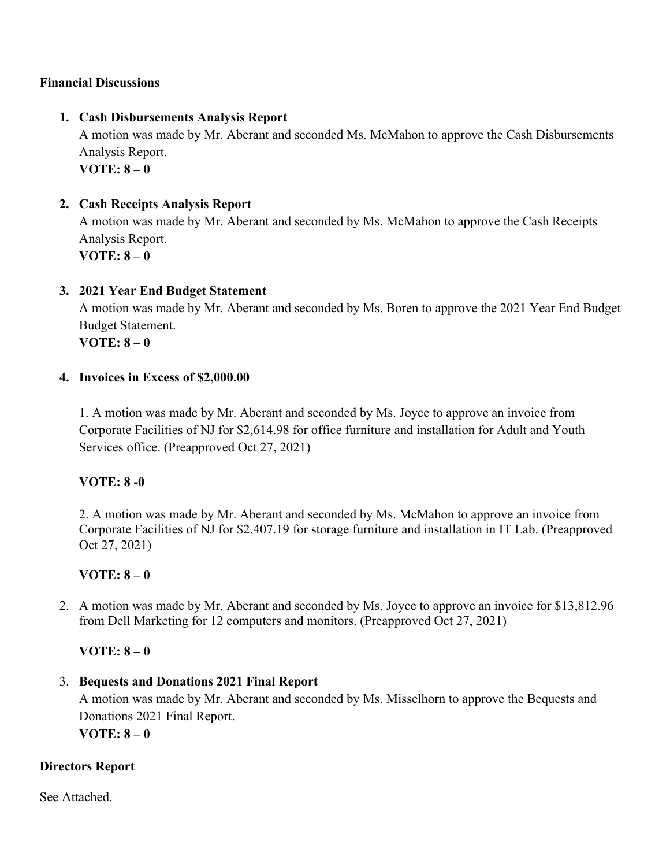## **Financial Discussions**

#### **1. Cash Disbursements Analysis Report**

A motion was made by Mr. Aberant and seconded Ms. McMahon to approve the Cash Disbursements Analysis Report. **VOTE: 8 – 0** 

#### **2. Cash Receipts Analysis Report**

A motion was made by Mr. Aberant and seconded by Ms. McMahon to approve the Cash Receipts Analysis Report. **VOTE: 8 – 0** 

#### **3. 2021 Year End Budget Statement**

A motion was made by Mr. Aberant and seconded by Ms. Boren to approve the 2021 Year End Budget Budget Statement.

**VOTE: 8 – 0** 

#### **4. Invoices in Excess of \$2,000.00**

1. A motion was made by Mr. Aberant and seconded by Ms. Joyce to approve an invoice from Corporate Facilities of NJ for \$2,614.98 for office furniture and installation for Adult and Youth Services office. (Preapproved Oct 27, 2021)

## **VOTE: 8 -0**

2. A motion was made by Mr. Aberant and seconded by Ms. McMahon to approve an invoice from Corporate Facilities of NJ for \$2,407.19 for storage furniture and installation in IT Lab. (Preapproved Oct 27, 2021)

## **VOTE: 8 – 0**

2. A motion was made by Mr. Aberant and seconded by Ms. Joyce to approve an invoice for \$13,812.96 from Dell Marketing for 12 computers and monitors. (Preapproved Oct 27, 2021)

## **VOTE: 8 – 0**

#### 3. **Bequests and Donations 2021 Final Report**

A motion was made by Mr. Aberant and seconded by Ms. Misselhorn to approve the Bequests and Donations 2021 Final Report.

**VOTE: 8 – 0**

## **Directors Report**

See Attached.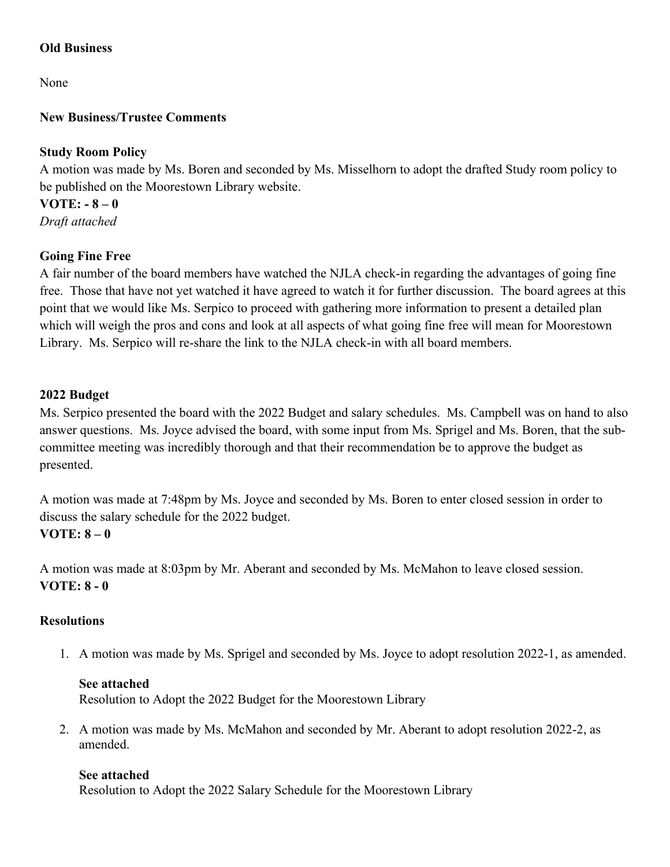## **Old Business**

None

## **New Business/Trustee Comments**

## **Study Room Policy**

A motion was made by Ms. Boren and seconded by Ms. Misselhorn to adopt the drafted Study room policy to be published on the Moorestown Library website.

**VOTE: - 8 – 0** *Draft attached*

## **Going Fine Free**

A fair number of the board members have watched the NJLA check-in regarding the advantages of going fine free. Those that have not yet watched it have agreed to watch it for further discussion. The board agrees at this point that we would like Ms. Serpico to proceed with gathering more information to present a detailed plan which will weigh the pros and cons and look at all aspects of what going fine free will mean for Moorestown Library. Ms. Serpico will re-share the link to the NJLA check-in with all board members.

## **2022 Budget**

Ms. Serpico presented the board with the 2022 Budget and salary schedules. Ms. Campbell was on hand to also answer questions. Ms. Joyce advised the board, with some input from Ms. Sprigel and Ms. Boren, that the subcommittee meeting was incredibly thorough and that their recommendation be to approve the budget as presented.

A motion was made at 7:48pm by Ms. Joyce and seconded by Ms. Boren to enter closed session in order to discuss the salary schedule for the 2022 budget. **VOTE: 8 – 0**

A motion was made at 8:03pm by Mr. Aberant and seconded by Ms. McMahon to leave closed session. **VOTE: 8 - 0**

## **Resolutions**

1. A motion was made by Ms. Sprigel and seconded by Ms. Joyce to adopt resolution 2022-1, as amended.

## **See attached**

Resolution to Adopt the 2022 Budget for the Moorestown Library

2. A motion was made by Ms. McMahon and seconded by Mr. Aberant to adopt resolution 2022-2, as amended.

## **See attached**

Resolution to Adopt the 2022 Salary Schedule for the Moorestown Library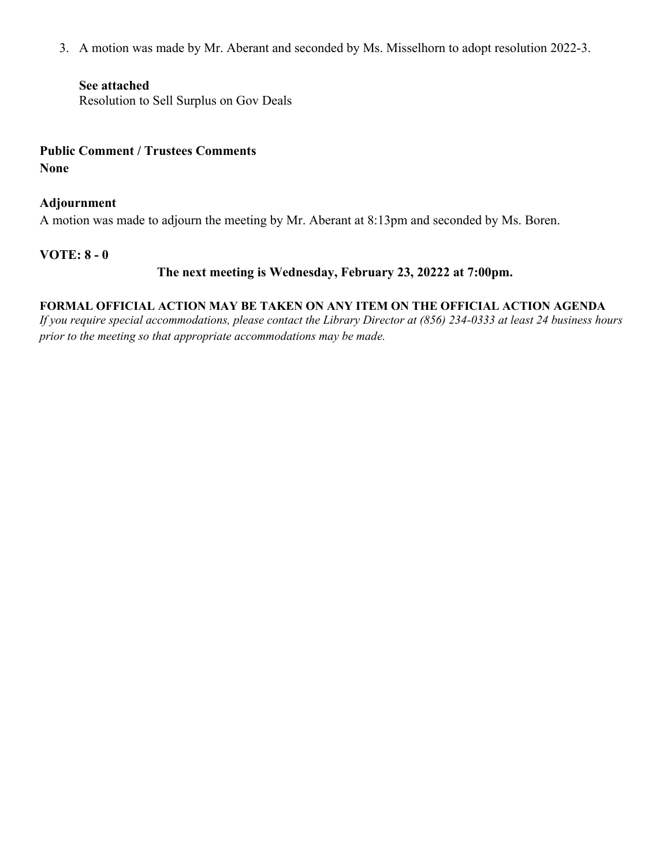3. A motion was made by Mr. Aberant and seconded by Ms. Misselhorn to adopt resolution 2022-3.

#### **See attached**

Resolution to Sell Surplus on Gov Deals

## **Public Comment / Trustees Comments None**

#### **Adjournment**

A motion was made to adjourn the meeting by Mr. Aberant at 8:13pm and seconded by Ms. Boren.

#### **VOTE: 8 - 0**

## **The next meeting is Wednesday, February 23, 20222 at 7:00pm.**

#### **FORMAL OFFICIAL ACTION MAY BE TAKEN ON ANY ITEM ON THE OFFICIAL ACTION AGENDA**

*If you require special accommodations, please contact the Library Director at (856) 234-0333 at least 24 business hours prior to the meeting so that appropriate accommodations may be made.*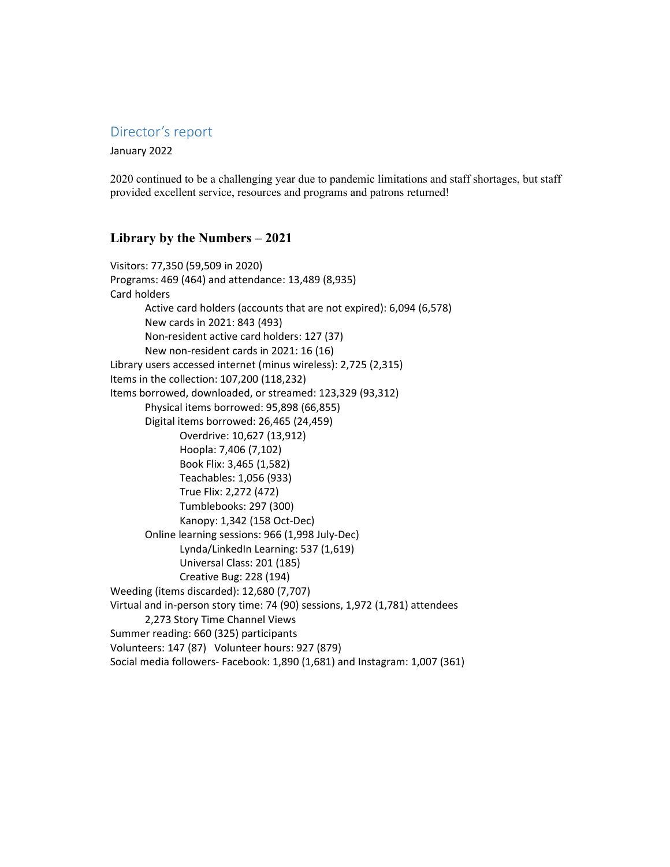#### Director's report

January 2022

2020 continued to be a challenging year due to pandemic limitations and staff shortages, but staff provided excellent service, resources and programs and patrons returned!

#### Library by the Numbers – 2021

Visitors: 77,350 (59,509 in 2020) Programs: 469 (464) and attendance: 13,489 (8,935) Card holders Active card holders (accounts that are not expired): 6,094 (6,578) New cards in 2021: 843 (493) Non-resident active card holders: 127 (37) New non-resident cards in 2021: 16 (16) Library users accessed internet (minus wireless): 2,725 (2,315) Items in the collection: 107,200 (118,232) Items borrowed, downloaded, or streamed: 123,329 (93,312) Physical items borrowed: 95,898 (66,855) Digital items borrowed: 26,465 (24,459) Overdrive: 10,627 (13,912) Hoopla: 7,406 (7,102) Book Flix: 3,465 (1,582) Teachables: 1,056 (933) True Flix: 2,272 (472) Tumblebooks: 297 (300) Kanopy: 1,342 (158 Oct-Dec) Online learning sessions: 966 (1,998 July-Dec) Lynda/LinkedIn Learning: 537 (1,619) Universal Class: 201 (185) Creative Bug: 228 (194) Weeding (items discarded): 12,680 (7,707) Virtual and in-person story time: 74 (90) sessions, 1,972 (1,781) attendees 2,273 Story Time Channel Views Summer reading: 660 (325) participants Volunteers: 147 (87) Volunteer hours: 927 (879) Social media followers- Facebook: 1,890 (1,681) and Instagram: 1,007 (361)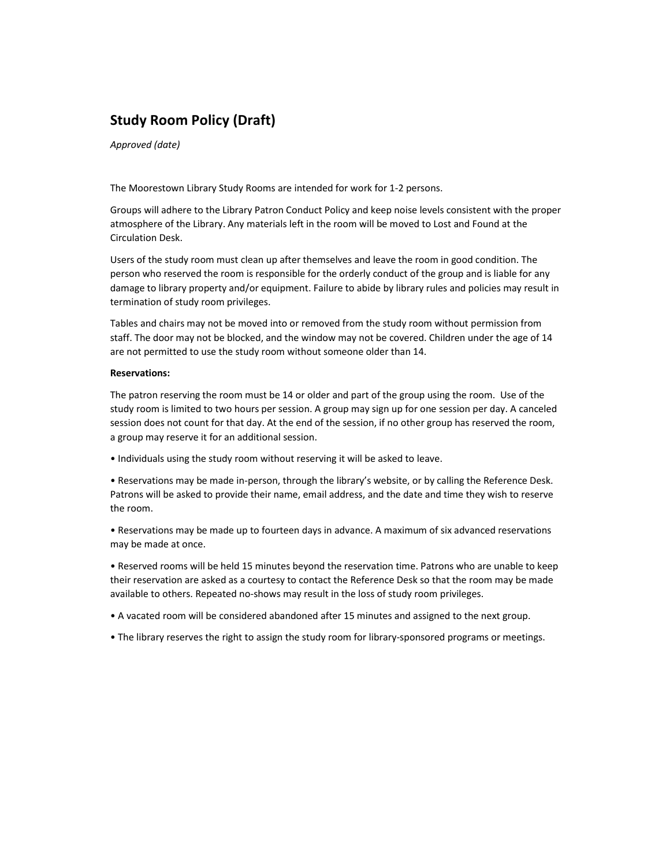## **Study Room Policy (Draft)**

*Approved (date)*

The Moorestown Library Study Rooms are intended for work for 1-2 persons.

Groups will adhere to the Library Patron Conduct Policy and keep noise levels consistent with the proper atmosphere of the Library. Any materials left in the room will be moved to Lost and Found at the Circulation Desk.

Users of the study room must clean up after themselves and leave the room in good condition. The person who reserved the room is responsible for the orderly conduct of the group and is liable for any damage to library property and/or equipment. Failure to abide by library rules and policies may result in termination of study room privileges.

Tables and chairs may not be moved into or removed from the study room without permission from staff. The door may not be blocked, and the window may not be covered. Children under the age of 14 are not permitted to use the study room without someone older than 14.

#### **Reservations:**

The patron reserving the room must be 14 or older and part of the group using the room. Use of the study room is limited to two hours per session. A group may sign up for one session per day. A canceled session does not count for that day. At the end of the session, if no other group has reserved the room, a group may reserve it for an additional session.

• Individuals using the study room without reserving it will be asked to leave.

• Reservations may be made in-person, through the library's website, or by calling the Reference Desk. Patrons will be asked to provide their name, email address, and the date and time they wish to reserve the room.

• Reservations may be made up to fourteen days in advance. A maximum of six advanced reservations may be made at once.

• Reserved rooms will be held 15 minutes beyond the reservation time. Patrons who are unable to keep their reservation are asked as a courtesy to contact the Reference Desk so that the room may be made available to others. Repeated no-shows may result in the loss of study room privileges.

- A vacated room will be considered abandoned after 15 minutes and assigned to the next group.
- The library reserves the right to assign the study room for library-sponsored programs or meetings.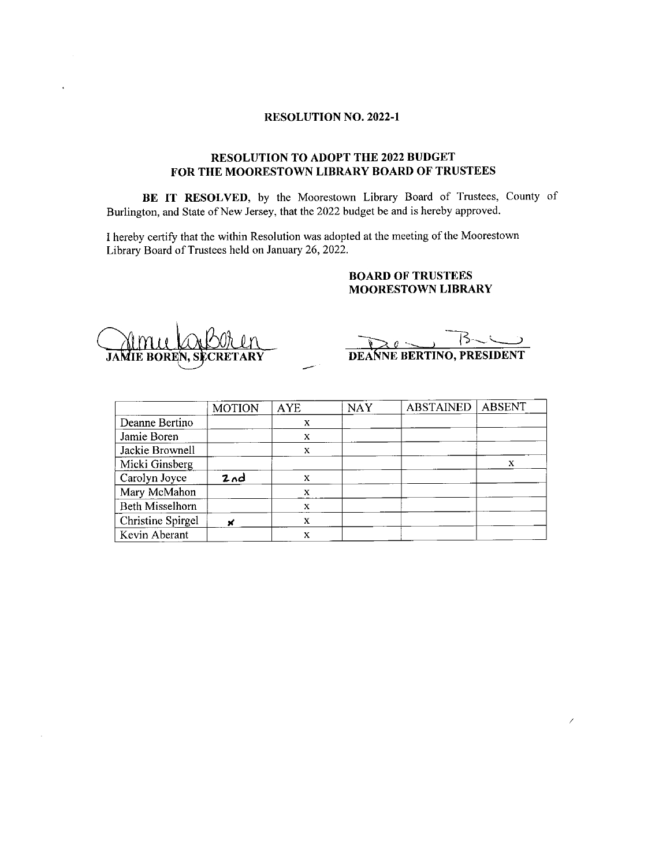#### **RESOLUTION NO. 2022-1**

#### RESOLUTION TO ADOPT THE 2022 BUDGET FOR THE MOORESTOWN LIBRARY BOARD OF TRUSTEES

BE IT RESOLVED, by the Moorestown Library Board of Trustees, County of Burlington, and State of New Jersey, that the 2022 budget be and is hereby approved.

I hereby certify that the within Resolution was adopted at the meeting of the Moorestown Library Board of Trustees held on January 26, 2022.

#### **BOARD OF TRUSTEES MOORESTOWN LIBRARY**

**DEANNE BERTINO, PRESIDENT** 

|                        | <b>MOTION</b> | <b>AYE</b> | <b>NAY</b> | <b>ABSTAINED</b> | <b>ABSENT</b> |
|------------------------|---------------|------------|------------|------------------|---------------|
| Deanne Bertino         |               | X          |            |                  |               |
| Jamie Boren            |               | X          |            |                  |               |
| Jackie Brownell        |               | X          |            |                  |               |
| Micki Ginsberg         |               |            |            |                  | х             |
| Carolyn Joyce          | 2nd           | x          |            |                  |               |
| Mary McMahon           |               | X          |            |                  |               |
| <b>Beth Misselhorn</b> |               | X          |            |                  |               |
| Christine Spirgel      | ×             | X          |            |                  |               |
| Kevin Aberant          |               | X          |            |                  |               |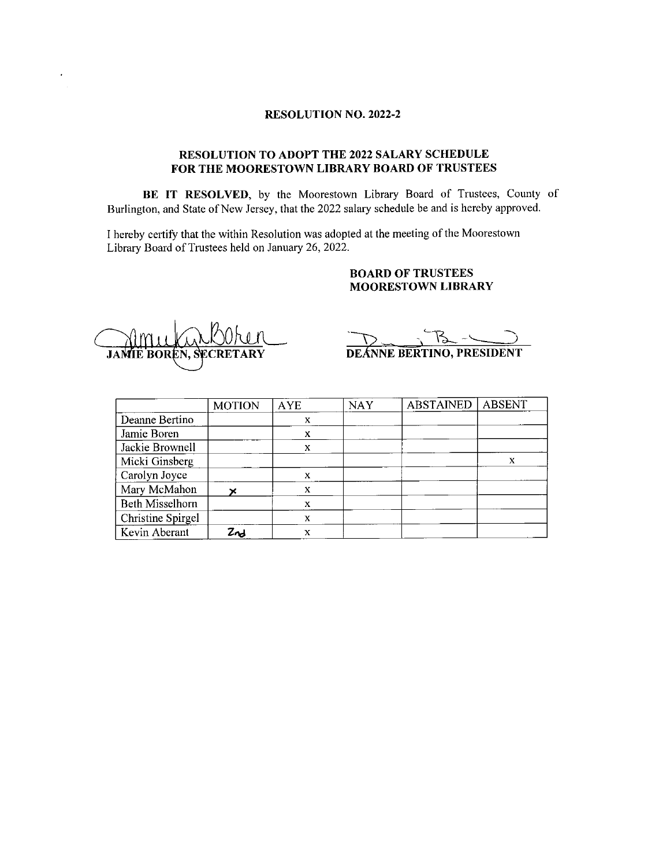#### **RESOLUTION NO. 2022-2**

#### RESOLUTION TO ADOPT THE 2022 SALARY SCHEDULE FOR THE MOORESTOWN LIBRARY BOARD OF TRUSTEES

BE IT RESOLVED, by the Moorestown Library Board of Trustees, County of Burlington, and State of New Jersey, that the 2022 salary schedule be and is hereby approved.

I hereby certify that the within Resolution was adopted at the meeting of the Moorestown Library Board of Trustees held on January 26, 2022.

#### **BOARD OF TRUSTEES MOORESTOWN LIBRARY**

**JAMIE BOREN, SECRETARY** 

DEANNE BERTINO, PRESIDENT

|                        | <b>MOTION</b> | <b>AYE</b> | <b>NAY</b> | <b>ABSTAINED</b> | <b>ABSENT</b> |
|------------------------|---------------|------------|------------|------------------|---------------|
| Deanne Bertino         |               | X          |            |                  |               |
| Jamie Boren            |               | x          |            |                  |               |
| Jackie Brownell        |               | X          |            |                  |               |
| Micki Ginsberg         |               |            |            |                  | X             |
| Carolyn Joyce          |               | X          |            |                  |               |
| Mary McMahon           |               | x          |            |                  |               |
| <b>Beth Misselhorn</b> |               | X          |            |                  |               |
| Christine Spirgel      |               | X          |            |                  |               |
| Kevin Aberant          | Znd           | X          |            |                  |               |